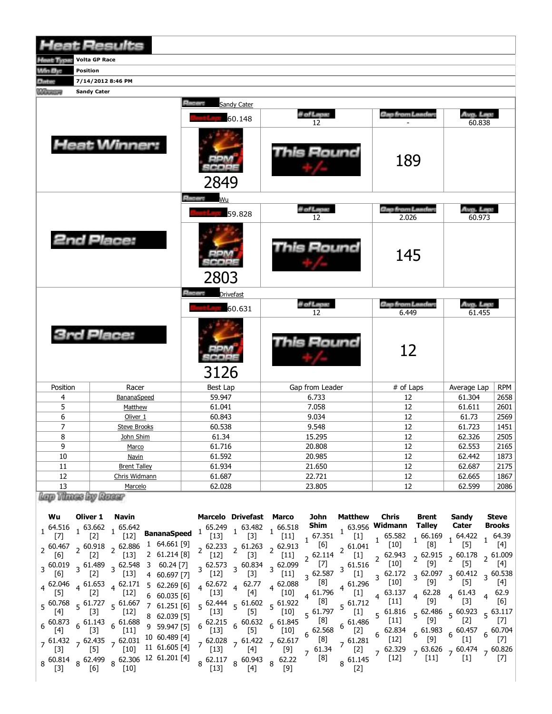|                               | <b>Heat Results</b>             |                                   |                   |                           |                     |            |
|-------------------------------|---------------------------------|-----------------------------------|-------------------|---------------------------|---------------------|------------|
|                               | <b>The Little Wolte GP Race</b> |                                   |                   |                           |                     |            |
| Win By:                       | <b>Position</b>                 |                                   |                   |                           |                     |            |
| <b>Address</b>                | 7/14/2012 8:46 PM               |                                   |                   |                           |                     |            |
| <b><i><u>CARACTER</u></i></b> | <b>Sandy Cater</b>              |                                   |                   |                           |                     |            |
|                               |                                 | <b>Rate of the</b><br>Sandy Cater |                   |                           |                     |            |
|                               |                                 | 60.148                            | il of Lapur<br>12 | Geo from Landers          | Avg. Lep:<br>60.838 |            |
|                               | <b>Heat Winner:</b>             | 2849                              | This Round        | 189                       |                     |            |
|                               |                                 | <b>Electric</b><br>Wu             |                   |                           |                     |            |
|                               |                                 | 59.828                            | il of Lapu.<br>12 | Gao from Landar:<br>2.026 | Ava. Leo:<br>60.973 |            |
|                               | 2nd Place:                      | 2803                              | This Round        | 145                       |                     |            |
|                               |                                 | <b>Room</b><br><b>Drivefast</b>   |                   |                           |                     |            |
|                               |                                 | 60.631                            | il of Lapus<br>12 | Gap from Lander:<br>6.449 | Avg. Lep.<br>61.455 |            |
|                               | <b>3rd Place:</b>               | 3126                              | This Round        | 12                        |                     |            |
| Position                      | Racer                           | Best Lap                          | Gap from Leader   | # of Laps                 | Average Lap         | <b>RPM</b> |
| 4                             | BananaSpeed                     | 59.947                            | 6.733             | 12                        | 61.304              | 2658       |
| 5                             | Matthew                         | 61.041                            | 7.058             | 12                        | 61.611              | 2601       |
| 6                             | Oliver 1                        | 60.843                            | 9.034             | 12                        | 61.73               | 2569       |
| $\overline{7}$                | <b>Steve Brooks</b>             | 60.538                            | 9.548             | 12                        | 61.723              | 1451       |
| 8                             | John Shim                       | 61.34                             | 15.295            | 12                        | 62.326              | 2505       |
| 9                             | Marco                           | 61.716                            | 20.808            | 12                        | 62.553              | 2165       |
| 10                            | Navin                           | 61.592                            | 20.985            | $\overline{12}$           | 62.442              | 1873       |
| 11                            | <b>Brent Talley</b>             | 61.934                            | 21.650            | 12                        | 62.687              | 2175       |
| 12                            | Chris Widmann                   | 61.687                            | 22.721            | 12                        | 62.665              | 1867       |
| 13                            | Marcelo                         | 62.028                            | 23.805            | 12                        | 62.599              | 2086       |

| Wu                                         | Oliver 1                                                                  | Navin                                     | <b>Marcelo Drivefast Marco</b>                               |                                 |                                                                                                      |        | John                                              | Matthew                                                                                         | <b>Chris</b>                                        | Brent                  | Sandv                                                                      | <b>Steve</b>           |
|--------------------------------------------|---------------------------------------------------------------------------|-------------------------------------------|--------------------------------------------------------------|---------------------------------|------------------------------------------------------------------------------------------------------|--------|---------------------------------------------------|-------------------------------------------------------------------------------------------------|-----------------------------------------------------|------------------------|----------------------------------------------------------------------------|------------------------|
| $1^{64.516}$ 1 63.662<br>$\lceil 7 \rceil$ | $\lceil 2 \rceil$                                                         | , 65.642                                  | 65.642<br>[12] <b>BananaSpeed</b> $1 \nvert_{[12]}^{65,249}$ |                                 | $\begin{array}{rrrr} & .49 & .249 & 63.482 & 1 & 66.518 \\ & [13] & 1 & 53 & 1 & 66.518 \end{array}$ |        | 67.351                                            | $\begin{bmatrix} 1 \end{bmatrix}$ t                                                             | <b>Shim</b> $1^{63.956}$ Widmann<br>65.582          | Talley<br>$1^{66.169}$ | Cater<br>$\frac{1}{1}$ 64.422                                              | <b>Brooks</b>          |
| $2^{60.467}$                               | $2^{60.918}$ 2 62.886<br>$\lceil 2 \rceil$                                | $\lceil 13 \rceil$                        | 1 64.661 [9]<br>2 61.214 [8]                                 | $[12]$                          | $2^{62.233}$ $2^{61.263}$ $2^{62.913}$<br>$[3]$                                                      | $[11]$ | $\overline{6}$ [6]<br>$2^{62.114}$                | 2 61.041<br>$\left[1\right]$                                                                    | $\left[10\right]$<br>62.943                         | [8]<br>2 62.915        | $\lceil 5 \rceil$<br>$\frac{1}{2}$ 60.178                                  |                        |
| [6]                                        | $3\,60.019\,3\,61.489$<br>$\left[2\right]$                                | $3\,62.548$<br>$[13]$                     | 3 60.24 [7]<br>4 60.697 [7]                                  | $[12]$                          | $3\frac{62.573}{100}$ 3 60.834 3 62.099<br>$[3]$                                                     | $[11]$ | [7]<br>$3^{62.587}$                               | 3 61.516                                                                                        | [10]<br>$[1] \quad 3 \quad 62.172$                  | [9]<br>$3^{62.097}$    | [5]<br>$3\frac{60.412}{57}$ 3 60.538                                       |                        |
| [5]                                        | $4\begin{array}{l}62.046\\ 4\end{array}$ 4 61.653<br>$[2]$                | $4^{62.171}$<br>$[12]$                    | 562.269[6]<br>$6\quad 60.035\ [6]$                           | [13]                            | $4\begin{array}{cccc} 62.672 & 62.77 & 4 & 62.088 \end{array}$<br>[4]                                | $[10]$ | $\begin{bmatrix} 8 \end{bmatrix}$<br>$4^{61.796}$ | 4 61.296<br>[1]                                                                                 | $[10]$<br>63.137<br>4 <sup>1</sup>                  | $4\frac{62.28}{101}$   | [5]<br>$4\frac{61.43}{12}$                                                 | 62.9<br>$\overline{4}$ |
| $5^{60.768}$                               | $5\frac{61.727}{5}$                                                       | [12]                                      | $5\substack{61.667\\5.63}$ 7 61.251 [6]<br>8 62.039 [5]      | $[13]$                          | $5\frac{62.444}{1.63}$ $5\frac{61.602}{1.63}$ $5\frac{61.922}{1.63}$<br>$[5]$                        | [10]   | [8]<br>$5^{61.797}$                               | $5^{61.712}$<br>$\left[1\right]$                                                                | [11]<br>$5\text{ }^{61.816}$                        |                        | $5\substack{62.486\\50}$ 5 60.923                                          | $5\frac{63.117}{5}$    |
| $6^{60.873}$                               | $6^{61.143}$<br>[3]                                                       | $6\frac{61.688}{ }$<br>$\lceil 11 \rceil$ | 9 59.947 [5]                                                 | 62.215<br>$6^{\circ}$<br>$[13]$ | $6\substack{60.632\\51}$ $6\substack{61.845\\51.61}$<br>$[5]$                                        | [10]   | [8]<br>$6^{62.568}$                               | $6^{61.486}$<br>[2]                                                                             | $[11]$<br>$6^{62.834}$                              | $[9]$                  | $6\substack{61.983\\50}$ $6\substack{60.457\\51}$ $6\substack{60.704\\51}$ |                        |
|                                            | $7\substack{61.432\\52.131}$ 7 62.435 $7\substack{62.031\\52.131}$<br>[5] | $\lceil 10 \rceil$                        | 11 61.605 [4] 7 62.028 7 61.422 7 62.617                     |                                 |                                                                                                      |        |                                                   | $7\begin{array}{c} 1.34 \\ 7.61.34 \end{array}$ 7 $\begin{array}{c} 61.281 \\ 7.61 \end{array}$ | $[12]$<br>$[2]$ 7 62.329 7 63.626 7 60.474 7 60.826 | [9]                    |                                                                            |                        |
| $8^{60.814}$<br>[3]                        | $\lceil 6 \rceil$                                                         | [10]                                      | $8\frac{62.499}{56}$ $8\frac{62.306}{560}$ 12 61.201 [4]     | $\overline{8}$<br>[13]          | $62.117$ $8^{60.943}$ $8^{62.22}$<br>[4]                                                             | [9]    | [8]                                               | $8\frac{61.145}{52}$                                                                            | $[12]$                                              | $[11]$                 | $[1]$                                                                      | $\vert 7 \vert$        |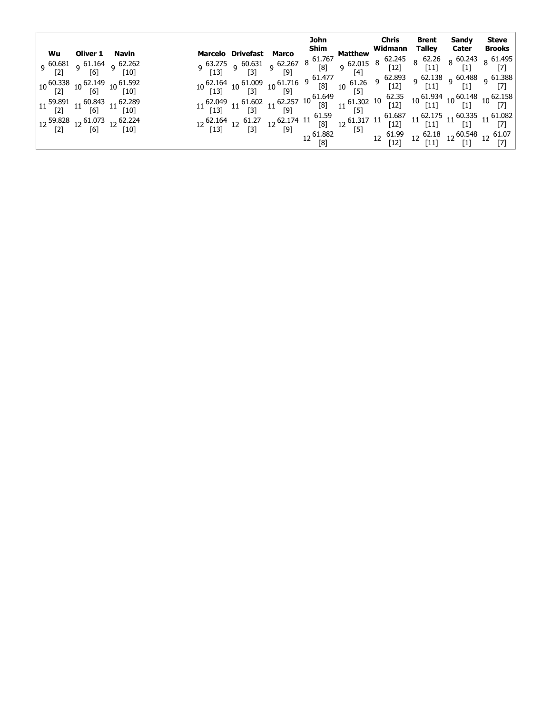|                                                                                                                                                                                                                                                                                                                                                                                                                                                                                                                                                                                               |  |  |  | John Chris                                                                                                                                                                                                                          | <b>Brent Sandy Steve</b> |  |
|-----------------------------------------------------------------------------------------------------------------------------------------------------------------------------------------------------------------------------------------------------------------------------------------------------------------------------------------------------------------------------------------------------------------------------------------------------------------------------------------------------------------------------------------------------------------------------------------------|--|--|--|-------------------------------------------------------------------------------------------------------------------------------------------------------------------------------------------------------------------------------------|--------------------------|--|
| Wu Oliver 1 Navin<br>9 <sup>60.681</sup> 9 <sup>61.164</sup> 9 <sup>62.262</sup><br>[10] <sup>61</sup> [6]<br>$10\,\begin{array}{l}\text{60.338}\\\text{[2]}\\\text{10}\end{array} 10\,\begin{array}{l}\text{62.149}\\\text{[6]}\\\text{10}\end{array} 10\,\begin{array}{l}\text{61.592}\\\text{[10]}\\\end{array}$<br>$11 \begin{array}{c} 59.891 \\ [2] \end{array} \begin{array}{c} 11 \end{array} \begin{array}{c} 60.843 \\ [6] \end{array} \begin{array}{c} 11 \end{array} \begin{array}{c} 62.289 \\ [10] \end{array}$<br>12 59.828    12 61.073    12 62.224<br>[2]    12 [6] 12 [10] |  |  |  | Marcelo Drivefast Marco Shim Widmann Talley Cater Brooks<br>9 63.275 9 60.631 9 62.267 8 61.767 Matthew Widmann Talley Cater Brooks<br>9 63.275 9 60.631 9 62.267 8 61.767 Matthew Widmann Talley Cater Brooks<br>9 63.275 9 60.631 |                          |  |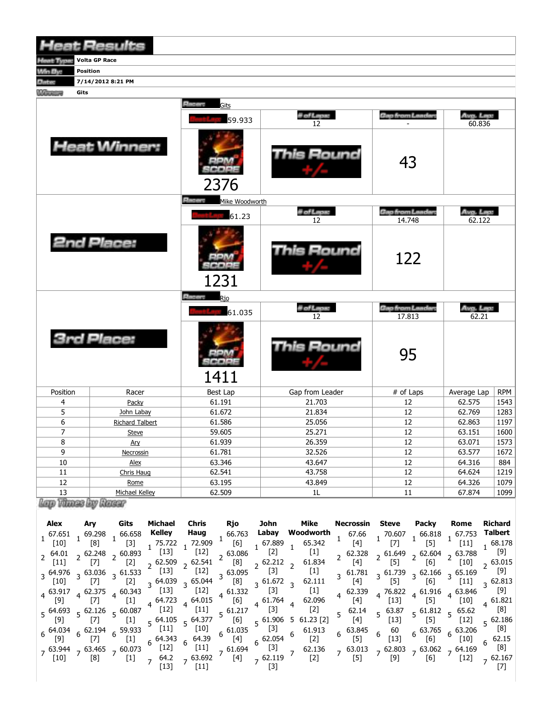|                    | <b>Heat Results</b>    |                                    |                   |                                  |                     |            |
|--------------------|------------------------|------------------------------------|-------------------|----------------------------------|---------------------|------------|
| Month Toyott       | <b>Volta GP Race</b>   |                                    |                   |                                  |                     |            |
| Win By:            | Position               |                                    |                   |                                  |                     |            |
| <b>Africa</b>      | 7/14/2012 8:21 PM      |                                    |                   |                                  |                     |            |
| <b>Marriage</b>    | Gits                   |                                    |                   |                                  |                     |            |
|                    |                        | <b>Elistan</b><br>Gits             |                   |                                  |                     |            |
|                    |                        | 59.933                             | il of Lapus<br>12 | <b>Gao from Landar</b>           | Avg. Lap.<br>60.836 |            |
|                    | <b>Heat Winner:</b>    | 2376                               | Round             | 43                               |                     |            |
|                    |                        | <b>Elizabeth</b><br>Mike Woodworth |                   |                                  |                     |            |
|                    |                        | 61.23                              | il of Lapus<br>12 | <b>Cap from Landar</b><br>14.748 | Avg. Lep.<br>62.122 |            |
|                    | 2nd Place:             | 1231                               | This Round        | 122                              |                     |            |
|                    |                        | <b>Silvian</b><br>Rio              |                   |                                  |                     |            |
|                    |                        | 61.035                             | il of Lapus<br>12 | Gap from Landar.<br>17.813       | Avg. Lep.<br>62.21  |            |
|                    | <b>3rd Place:</b>      | 1411                               | This Round        | 95                               |                     |            |
| Position           | Racer                  | <b>Best Lap</b>                    | Gap from Leader   | # of Laps                        | Average Lap         | <b>RPM</b> |
| 4                  | Packy                  | 61.191                             | 21.703            | 12                               | 62.575              | 1543       |
| 5                  | John Labay             | 61.672                             | 21.834            | 12                               | 62.769              | 1283       |
| 6                  | <b>Richard Talbert</b> | 61.586                             | 25.056            | 12                               | 62.863              | 1197       |
| $\overline{7}$     | <b>Steve</b>           | 59.605                             | 25.271            | 12                               | 63.151              | 1600       |
| $\overline{\bf 8}$ | <u>Ary</u>             | 61.939                             | 26.359            | $12\,$                           | 63.071              | 1573       |
| 9                  | Necrossin              | 61.781                             | 32.526            | $12\,$                           | 63.577              | 1672       |
| $10\,$             | Alex                   | 63.346                             | 43.647            | $12\,$                           | 64.316              | 884        |
| $11\,$             | Chris Haug             | 62.541                             | 43.758            | 12                               | 64.624              | 1219       |
| $12\,$             | Rome                   | 63.195                             | 43.849            | $12\,$                           | 64.326              | 1079       |
| 13                 | Michael Kelley         | 62.509                             | $1\mathsf{L}$     | $11\,$                           | 67.874              | 1099       |
|                    | Lap Vines by Rass      |                                    |                   |                                  |                     |            |

| Alex<br>$1^{67.651}$<br>$[10]$<br>$2^{64.01}$<br>[11]<br>$3^{64.976}$<br>$[10]$<br>$4^{63.917}$<br>[9]<br>$5^{64.693}$<br>$6^{64.034}$<br>[9]<br>$[10]$ | Ary<br>69.298<br>[8]<br>$2\frac{62.248}{57}$<br>$[7]$<br>$3^{63.036}$<br>$[7]$<br>$4^{62.375}$<br>$[7]$<br>$5^{62.126}$<br>$[7]$<br>$6\frac{62.194}{1}$<br>$[7]$<br>$7\frac{63.944}{103}$ 7 63.465<br>[8] | Gits<br>, 66.658<br>$[3]$<br>$2^{60.893}$<br>$[2]$<br>$3\frac{61.533}{1}$<br>$[2]$<br>$4^{60.343}$<br>$[1]$<br>$5^{60.087}$<br>$[1]$<br>$6\frac{59.933}{513}$<br>$[1]$<br>$7\frac{60.073}{ }$<br>$[1]$ | Michael<br>Kelley<br>75.722<br>$[13]$<br><sub>2</sub> 62.509<br>$[13]$<br>$3^{64.039}$<br>$[13]$<br>64.723<br>$\overline{a}$<br>$[12]$<br>$5^{64.105}$<br>$[11]$<br>64.343<br>6<br>$[12]$<br>64.2<br>[13] | Chris<br>Haug<br>72.909<br>$[12]$<br>62.541<br>$[12]$<br>$3\,65.044$<br>$[12]$<br>64.015<br>$[11]$<br>$5\frac{64.377}{5}$<br>$[10]$<br>64.39<br>6<br>$[11]$<br>7 63.692<br>$[11]$ | Rjo<br>166.763<br>[6]<br>$2^{63.086}$<br>[8]<br>$3\frac{63.095}{100}$<br>[8]<br>$4\frac{61.332}{163}$<br>[6]<br>$5\frac{61.217}{5}$<br>[6]<br>61.035<br>6<br>[4]<br>, 61.694<br>[4] | John<br>Labay<br>67.889<br>$[2]$<br>$2^{62.212}$<br>$[3]$<br>$3^{61.672}$<br>$[3]$<br>4 61.764<br>$[3]$<br>$5^{61.906}$<br>$[3]$<br>62.054<br>6<br>[3]<br>$7\frac{62.119}{521}$<br>$\lceil 3 \rceil$ | Mike<br>Woodworth<br>65.342<br>$[1]$<br>61.834<br>$\overline{2}$<br>$[1]$<br>62.111<br>$\overline{\mathbf{3}}$<br>$[1]$<br>62.096<br>$[2]$<br>$61.23$ [2]<br>5<br>61.913<br>6<br>$[2]$<br>62.136<br>$\overline{7}$<br>$[2]$ | $\overline{4}$<br>5 <sup>1</sup><br>6<br>$\overline{z}$ | Necrossin<br>67.66<br>[4]<br>62.328<br>$[4]$<br>3 61.781<br>[4]<br>62.339<br>$[4]$<br>62.14<br>$[4]$<br>63.845<br>[5]<br>63.013<br>$[5]$ | <b>Steve</b><br>,70.607<br>$[7]$<br>$2\frac{61.649}{5}$<br>$[5]$<br>$3\frac{61.739}{5}$<br>$[5]$<br>4 76.822<br>$[13]$<br>$5\text{ }63.87$<br>$[13]$<br>60<br>6<br>$[13]$<br>$_7$ 62.803<br>[9] | Packy<br>$1^{66.818}$<br>$[5]$<br>$2\frac{62.604}{5}$<br>[6]<br>$3^{62.166}$<br>[6]<br>$\frac{4}{4}$ 61.916<br>$[5]$<br>$5^{61.812}$<br>$[5]$<br>63.765<br>$6^{\circ}$<br>[6]<br>[6] | Rome<br>$\frac{1}{1}$ 67.753<br>$[11]$<br>$4\quad 2\quad 63.788$<br>$\lceil 10 \rceil$<br>$3\frac{65.169}{1}$<br>$[11]$<br>$4\frac{63.846}{ }$<br>$[10]$<br>$5\frac{65.62}{ }$<br>$[12]$<br>$6^{63.206}$<br>$[10]$<br>$7^{63.062}$ $7^{64.169}$<br>$[12]$ | <b>Richard</b><br><b>Talbert</b><br>68.178<br>[9]<br>$2\frac{63.015}{52}$<br>[9]<br>$3\frac{62.813}{10}$<br>[9]<br>$4^{61.821}$<br>[8]<br>562.186<br>[8]<br>62.15<br>[8]<br>$7\,62.167$ |
|---------------------------------------------------------------------------------------------------------------------------------------------------------|-----------------------------------------------------------------------------------------------------------------------------------------------------------------------------------------------------------|--------------------------------------------------------------------------------------------------------------------------------------------------------------------------------------------------------|-----------------------------------------------------------------------------------------------------------------------------------------------------------------------------------------------------------|-----------------------------------------------------------------------------------------------------------------------------------------------------------------------------------|-------------------------------------------------------------------------------------------------------------------------------------------------------------------------------------|------------------------------------------------------------------------------------------------------------------------------------------------------------------------------------------------------|-----------------------------------------------------------------------------------------------------------------------------------------------------------------------------------------------------------------------------|---------------------------------------------------------|------------------------------------------------------------------------------------------------------------------------------------------|-------------------------------------------------------------------------------------------------------------------------------------------------------------------------------------------------|--------------------------------------------------------------------------------------------------------------------------------------------------------------------------------------|-----------------------------------------------------------------------------------------------------------------------------------------------------------------------------------------------------------------------------------------------------------|-----------------------------------------------------------------------------------------------------------------------------------------------------------------------------------------|
|                                                                                                                                                         |                                                                                                                                                                                                           |                                                                                                                                                                                                        |                                                                                                                                                                                                           |                                                                                                                                                                                   |                                                                                                                                                                                     |                                                                                                                                                                                                      |                                                                                                                                                                                                                             |                                                         |                                                                                                                                          |                                                                                                                                                                                                 |                                                                                                                                                                                      |                                                                                                                                                                                                                                                           |                                                                                                                                                                                         |